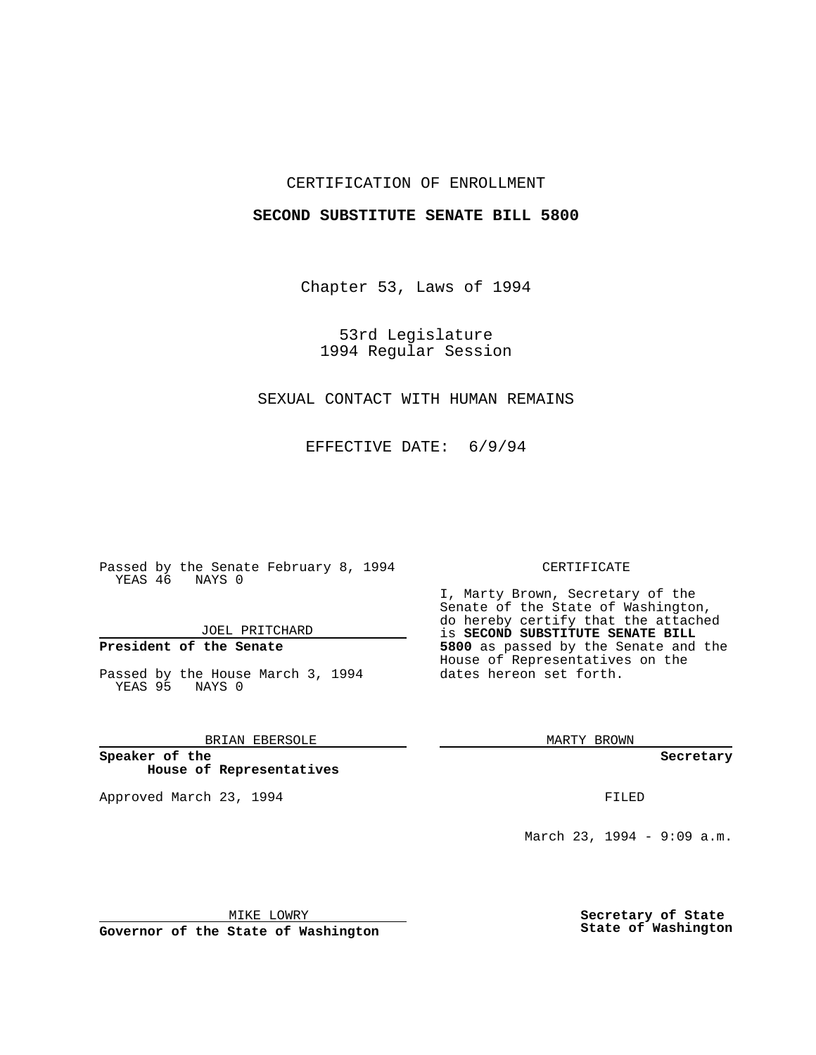#### CERTIFICATION OF ENROLLMENT

#### **SECOND SUBSTITUTE SENATE BILL 5800**

Chapter 53, Laws of 1994

53rd Legislature 1994 Regular Session

# SEXUAL CONTACT WITH HUMAN REMAINS

EFFECTIVE DATE: 6/9/94

Passed by the Senate February 8, 1994 YEAS 46 NAYS 0

JOEL PRITCHARD

# **President of the Senate**

Passed by the House March 3, 1994 YEAS 95 NAYS 0

### BRIAN EBERSOLE

**Speaker of the House of Representatives**

Approved March 23, 1994 **FILED** 

#### CERTIFICATE

I, Marty Brown, Secretary of the Senate of the State of Washington, do hereby certify that the attached is **SECOND SUBSTITUTE SENATE BILL 5800** as passed by the Senate and the House of Representatives on the dates hereon set forth.

MARTY BROWN

**Secretary**

March 23, 1994 - 9:09 a.m.

MIKE LOWRY

**Governor of the State of Washington**

**Secretary of State State of Washington**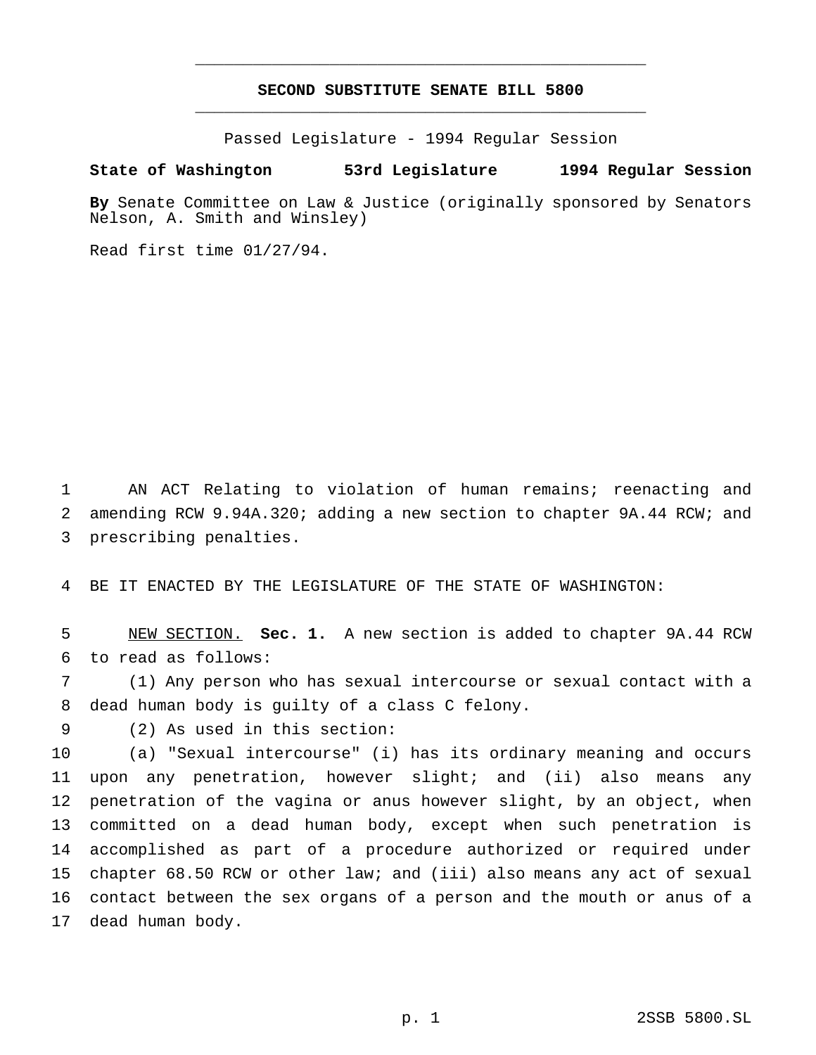## **SECOND SUBSTITUTE SENATE BILL 5800** \_\_\_\_\_\_\_\_\_\_\_\_\_\_\_\_\_\_\_\_\_\_\_\_\_\_\_\_\_\_\_\_\_\_\_\_\_\_\_\_\_\_\_\_\_\_\_

\_\_\_\_\_\_\_\_\_\_\_\_\_\_\_\_\_\_\_\_\_\_\_\_\_\_\_\_\_\_\_\_\_\_\_\_\_\_\_\_\_\_\_\_\_\_\_

Passed Legislature - 1994 Regular Session

### **State of Washington 53rd Legislature 1994 Regular Session**

**By** Senate Committee on Law & Justice (originally sponsored by Senators Nelson, A. Smith and Winsley)

Read first time 01/27/94.

 AN ACT Relating to violation of human remains; reenacting and amending RCW 9.94A.320; adding a new section to chapter 9A.44 RCW; and prescribing penalties.

BE IT ENACTED BY THE LEGISLATURE OF THE STATE OF WASHINGTON:

 NEW SECTION. **Sec. 1.** A new section is added to chapter 9A.44 RCW to read as follows:

 (1) Any person who has sexual intercourse or sexual contact with a dead human body is guilty of a class C felony.

(2) As used in this section:

 (a) "Sexual intercourse" (i) has its ordinary meaning and occurs upon any penetration, however slight; and (ii) also means any penetration of the vagina or anus however slight, by an object, when committed on a dead human body, except when such penetration is accomplished as part of a procedure authorized or required under chapter 68.50 RCW or other law; and (iii) also means any act of sexual contact between the sex organs of a person and the mouth or anus of a dead human body.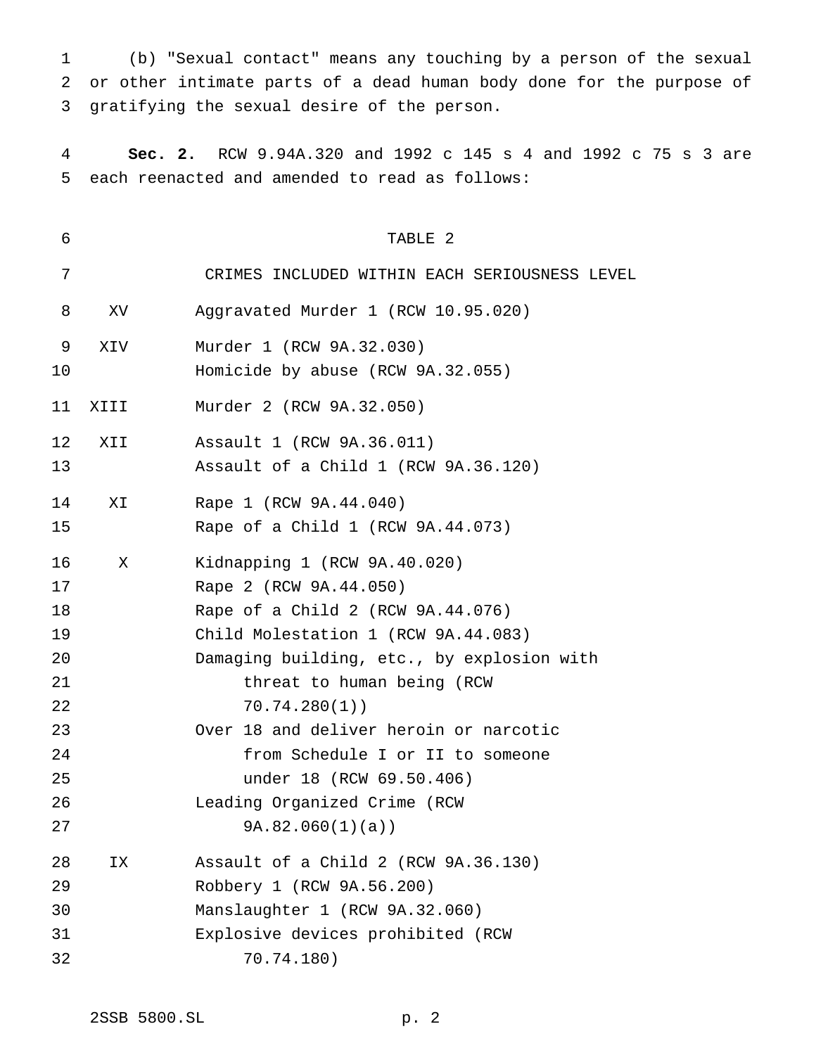(b) "Sexual contact" means any touching by a person of the sexual or other intimate parts of a dead human body done for the purpose of gratifying the sexual desire of the person.

 **Sec. 2.** RCW 9.94A.320 and 1992 c 145 s 4 and 1992 c 75 s 3 are each reenacted and amended to read as follows:

| 6  |      | TABLE 2                                       |
|----|------|-----------------------------------------------|
| 7  |      | CRIMES INCLUDED WITHIN EACH SERIOUSNESS LEVEL |
| 8  | XV   | Aggravated Murder 1 (RCW 10.95.020)           |
| 9  | XIV  | Murder 1 (RCW 9A.32.030)                      |
| 10 |      | Homicide by abuse (RCW 9A.32.055)             |
| 11 | XIII | Murder 2 (RCW 9A.32.050)                      |
| 12 | XII  | Assault 1 (RCW 9A.36.011)                     |
| 13 |      | Assault of a Child 1 (RCW 9A.36.120)          |
| 14 | ΧI   | Rape 1 (RCW 9A.44.040)                        |
| 15 |      | Rape of a Child 1 (RCW 9A.44.073)             |
| 16 | Χ    | Kidnapping 1 (RCW 9A.40.020)                  |
| 17 |      | Rape 2 (RCW 9A.44.050)                        |
| 18 |      | Rape of a Child 2 (RCW 9A.44.076)             |
| 19 |      | Child Molestation 1 (RCW 9A.44.083)           |
| 20 |      | Damaging building, etc., by explosion with    |
| 21 |      | threat to human being (RCW                    |
| 22 |      | 70.74.280(1)                                  |
| 23 |      | Over 18 and deliver heroin or narcotic        |
| 24 |      | from Schedule I or II to someone              |
| 25 |      | under 18 (RCW 69.50.406)                      |
| 26 |      | Leading Organized Crime (RCW                  |
| 27 |      | 9A.82.060(1)(a)                               |
| 28 | IX.  | Assault of a Child 2 (RCW 9A.36.130)          |
| 29 |      | Robbery 1 (RCW 9A.56.200)                     |
| 30 |      | Manslaughter 1 (RCW 9A.32.060)                |
| 31 |      | Explosive devices prohibited (RCW             |
| 32 |      | 70.74.180)                                    |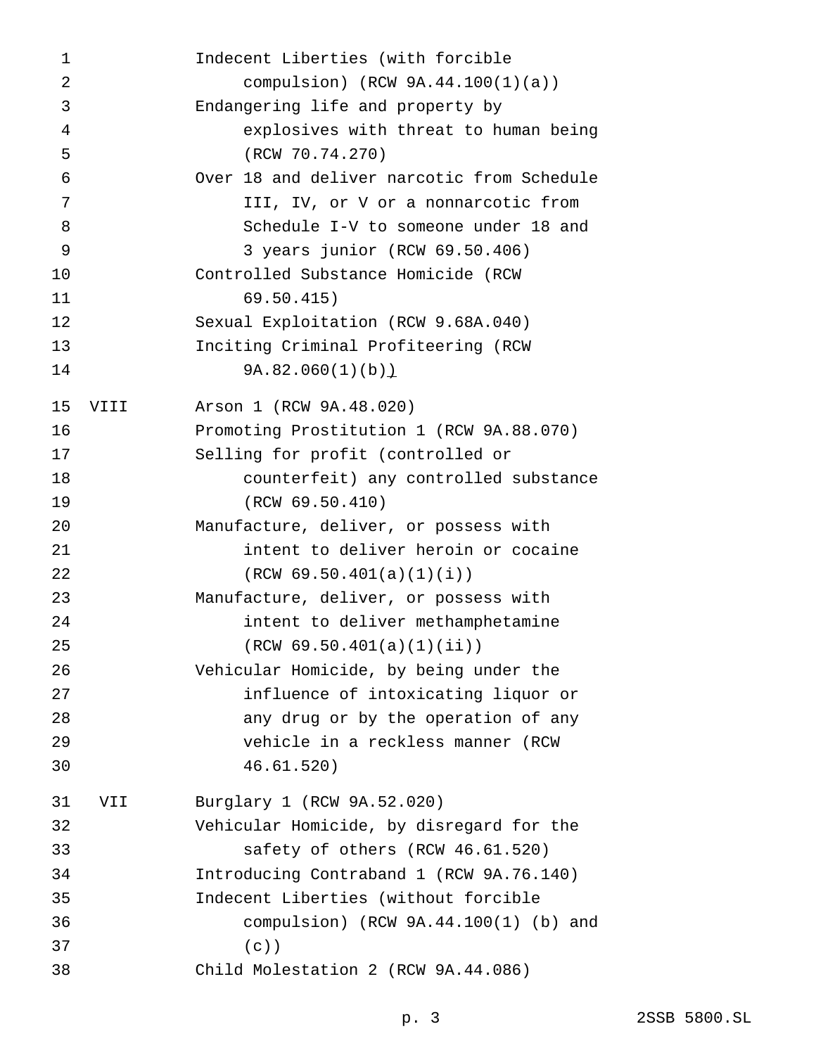| 1  |      | Indecent Liberties (with forcible          |
|----|------|--------------------------------------------|
| 2  |      | compulsion) $(RCW 9A.44.100(1)(a))$        |
| 3  |      | Endangering life and property by           |
| 4  |      | explosives with threat to human being      |
| 5  |      | (RCW 70.74.270)                            |
| 6  |      | Over 18 and deliver narcotic from Schedule |
| 7  |      | III, IV, or V or a nonnarcotic from        |
| 8  |      | Schedule I-V to someone under 18 and       |
| 9  |      | 3 years junior (RCW 69.50.406)             |
| 10 |      | Controlled Substance Homicide (RCW         |
| 11 |      | 69.50.415)                                 |
| 12 |      | Sexual Exploitation (RCW 9.68A.040)        |
| 13 |      | Inciting Criminal Profiteering (RCW        |
| 14 |      | 9A.82.060(1)(b)                            |
| 15 | VIII | Arson 1 (RCW 9A.48.020)                    |
| 16 |      | Promoting Prostitution 1 (RCW 9A.88.070)   |
| 17 |      | Selling for profit (controlled or          |
| 18 |      | counterfeit) any controlled substance      |
| 19 |      | (RCW 69.50.410)                            |
| 20 |      | Manufacture, deliver, or possess with      |
| 21 |      | intent to deliver heroin or cocaine        |
| 22 |      | (RCW 69.50.401(a)(1)(i))                   |
| 23 |      | Manufacture, deliver, or possess with      |
| 24 |      | intent to deliver methamphetamine          |
| 25 |      | (RCW 69.50.401(a)(1)(ii))                  |
| 26 |      | Vehicular Homicide, by being under the     |
| 27 |      | influence of intoxicating liquor or        |
| 28 |      | any drug or by the operation of any        |
| 29 |      | vehicle in a reckless manner (RCW          |
| 30 |      | 46.61.520)                                 |
| 31 | VII  | Burglary 1 (RCW 9A.52.020)                 |
| 32 |      | Vehicular Homicide, by disregard for the   |
| 33 |      | safety of others (RCW 46.61.520)           |
| 34 |      | Introducing Contraband 1 (RCW 9A.76.140)   |
| 35 |      | Indecent Liberties (without forcible       |
| 36 |      | compulsion) (RCW $9A.44.100(1)$ (b) and    |
| 37 |      | $(c)$ )                                    |
| 38 |      | Child Molestation 2 (RCW 9A.44.086)        |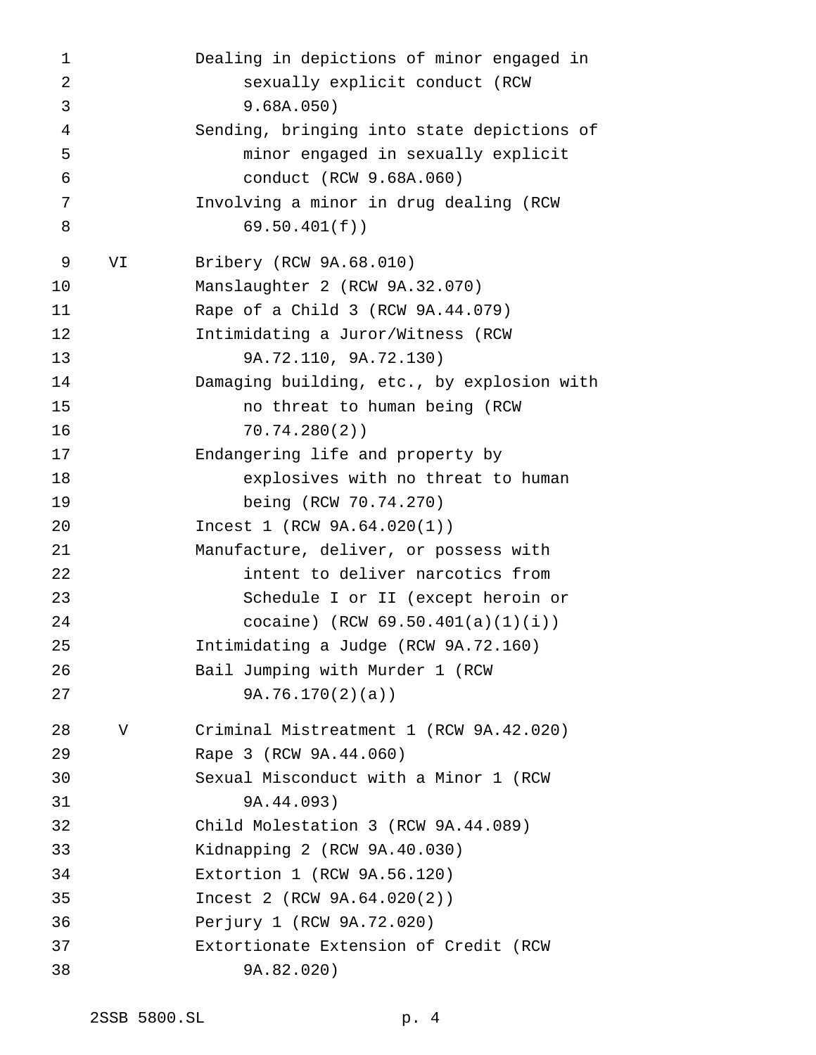| $\mathbf 1$    |    | Dealing in depictions of minor engaged in  |
|----------------|----|--------------------------------------------|
| $\overline{2}$ |    | sexually explicit conduct (RCW             |
| 3              |    | 9.68A.050)                                 |
| 4              |    | Sending, bringing into state depictions of |
| 5              |    | minor engaged in sexually explicit         |
| 6              |    | conduct (RCW 9.68A.060)                    |
| 7              |    | Involving a minor in drug dealing (RCW     |
| 8              |    | 69.50.401(f)                               |
| 9              | VI | Bribery (RCW 9A.68.010)                    |
| 10             |    | Manslaughter 2 (RCW 9A.32.070)             |
| 11             |    | Rape of a Child 3 (RCW 9A.44.079)          |
| 12             |    | Intimidating a Juror/Witness (RCW          |
| 13             |    | 9A.72.110, 9A.72.130)                      |
| 14             |    | Damaging building, etc., by explosion with |
| 15             |    | no threat to human being (RCW              |
| 16             |    | 70.74.280(2)                               |
| 17             |    | Endangering life and property by           |
| 18             |    | explosives with no threat to human         |
| 19             |    | being (RCW 70.74.270)                      |
| 20             |    | Incest 1 (RCW 9A.64.020(1))                |
| 21             |    | Manufacture, deliver, or possess with      |
| 22             |    | intent to deliver narcotics from           |
| 23             |    | Schedule I or II (except heroin or         |
| 24             |    | cocaine) $(RCW 69.50.401(a)(1)(i))$        |
| 25             |    | Intimidating a Judge (RCW 9A.72.160)       |
| 26             |    | Bail Jumping with Murder 1 (RCW            |
| 27             |    | 9A.76.170(2)(a)                            |
| 28             | V  | Criminal Mistreatment 1 (RCW 9A.42.020)    |
| 29             |    | Rape 3 (RCW 9A.44.060)                     |
| 30             |    | Sexual Misconduct with a Minor 1 (RCW      |
| 31             |    | 9A.44.093)                                 |
| 32             |    | Child Molestation 3 (RCW 9A.44.089)        |
| 33             |    | Kidnapping 2 (RCW 9A.40.030)               |
| 34             |    | Extortion 1 (RCW 9A.56.120)                |
| 35             |    | Incest 2 (RCW 9A.64.020(2))                |
| 36             |    | Perjury 1 (RCW 9A.72.020)                  |
| 37             |    | Extortionate Extension of Credit (RCW      |
| 38             |    | 9A.82.020)                                 |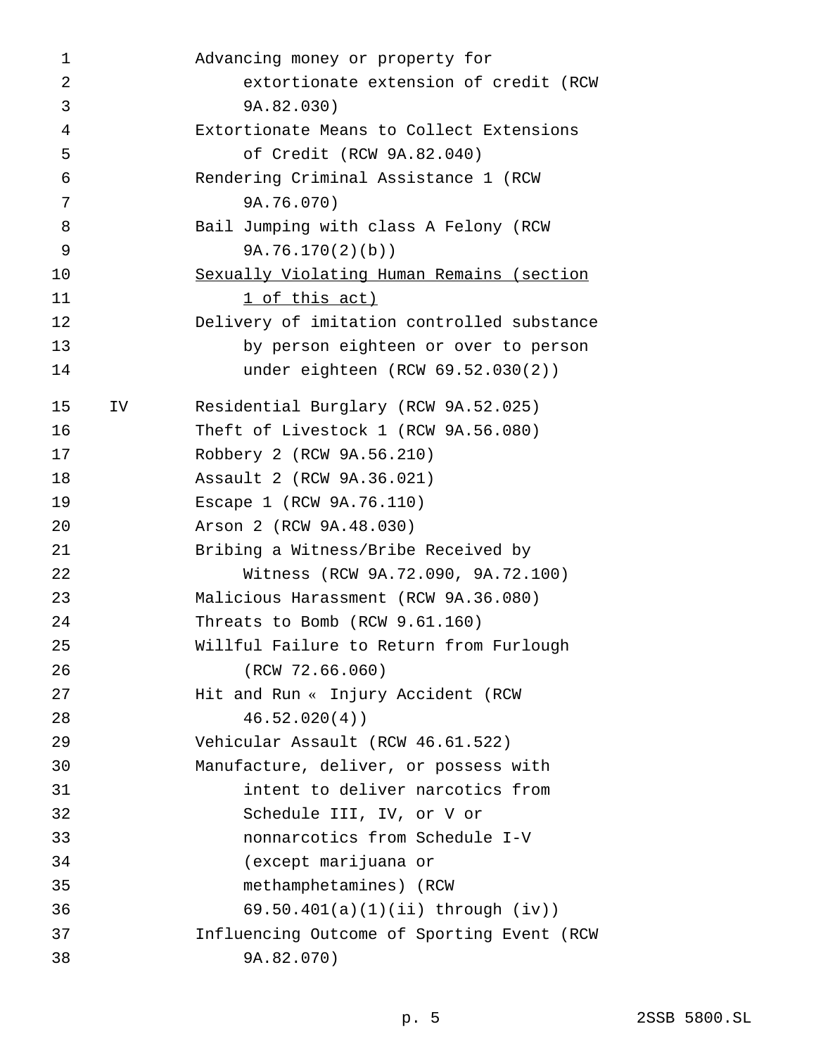| 1  |    | Advancing money or property for            |
|----|----|--------------------------------------------|
| 2  |    | extortionate extension of credit (RCW      |
| 3  |    | 9A.82.030)                                 |
| 4  |    | Extortionate Means to Collect Extensions   |
| 5  |    | of Credit (RCW 9A.82.040)                  |
| 6  |    | Rendering Criminal Assistance 1 (RCW       |
| 7  |    | 9A.76.070)                                 |
| 8  |    | Bail Jumping with class A Felony (RCW      |
| 9  |    | 9A.76.170(2)(b)                            |
| 10 |    | Sexually Violating Human Remains (section  |
| 11 |    | 1 of this act)                             |
| 12 |    | Delivery of imitation controlled substance |
| 13 |    | by person eighteen or over to person       |
| 14 |    | under eighteen $(RCW 69.52.030(2))$        |
| 15 | IV | Residential Burglary (RCW 9A.52.025)       |
| 16 |    | Theft of Livestock 1 (RCW 9A.56.080)       |
| 17 |    | Robbery 2 (RCW 9A.56.210)                  |
| 18 |    | Assault 2 (RCW 9A.36.021)                  |
| 19 |    | Escape 1 (RCW 9A.76.110)                   |
| 20 |    | Arson 2 (RCW 9A.48.030)                    |
| 21 |    | Bribing a Witness/Bribe Received by        |
| 22 |    | Witness (RCW 9A.72.090, 9A.72.100)         |
| 23 |    | Malicious Harassment (RCW 9A.36.080)       |
| 24 |    | Threats to Bomb (RCW 9.61.160)             |
| 25 |    | Willful Failure to Return from Furlough    |
| 26 |    | (RCW 72.66.060)                            |
| 27 |    | Hit and Run « Injury Accident (RCW         |
| 28 |    | $46.52.020(4)$ )                           |
| 29 |    | Vehicular Assault (RCW 46.61.522)          |
| 30 |    | Manufacture, deliver, or possess with      |
| 31 |    | intent to deliver narcotics from           |
| 32 |    | Schedule III, IV, or V or                  |
| 33 |    | nonnarcotics from Schedule I-V             |
| 34 |    | (except marijuana or                       |
| 35 |    | methamphetamines) (RCW                     |
| 36 |    | $69.50.401(a)(1)(ii)$ through $(iv)$ )     |
| 37 |    | Influencing Outcome of Sporting Event (RCW |
| 38 |    | 9A.82.070)                                 |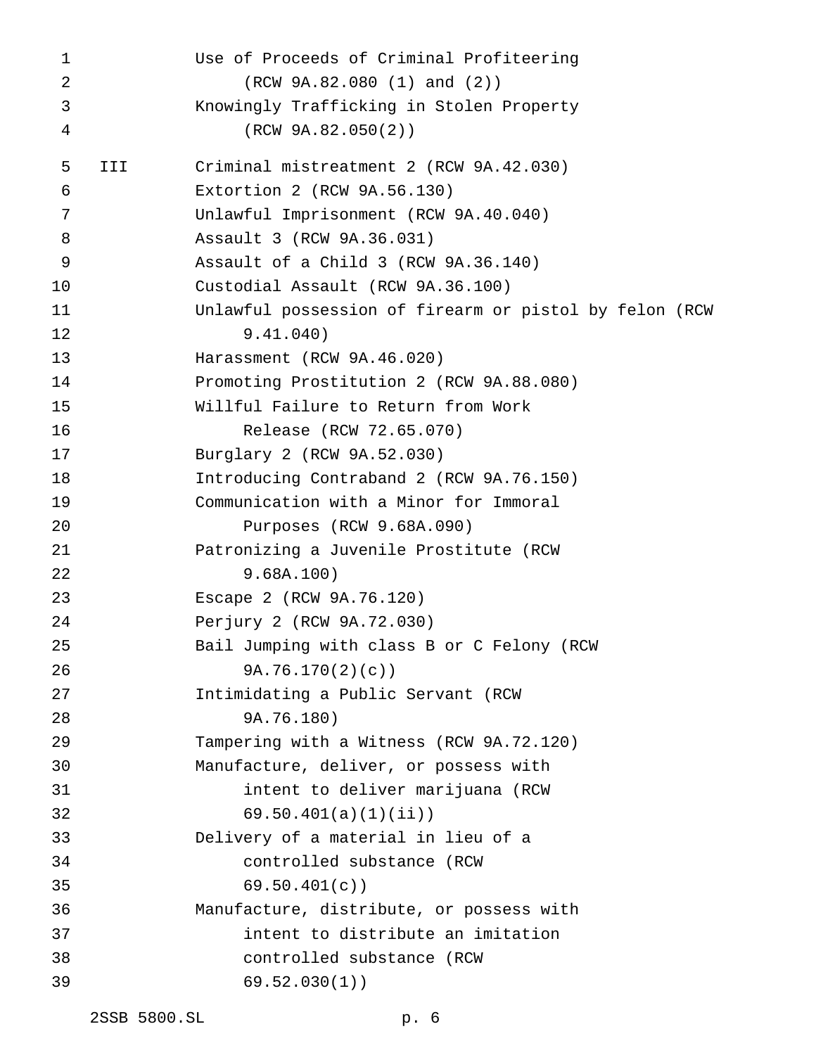Use of Proceeds of Criminal Profiteering (RCW 9A.82.080 (1) and (2)) Knowingly Trafficking in Stolen Property (RCW 9A.82.050(2)) III Criminal mistreatment 2 (RCW 9A.42.030) Extortion 2 (RCW 9A.56.130) Unlawful Imprisonment (RCW 9A.40.040) Assault 3 (RCW 9A.36.031) Assault of a Child 3 (RCW 9A.36.140) Custodial Assault (RCW 9A.36.100) Unlawful possession of firearm or pistol by felon (RCW 9.41.040) Harassment (RCW 9A.46.020) Promoting Prostitution 2 (RCW 9A.88.080) Willful Failure to Return from Work Release (RCW 72.65.070) Burglary 2 (RCW 9A.52.030) Introducing Contraband 2 (RCW 9A.76.150) Communication with a Minor for Immoral Purposes (RCW 9.68A.090) Patronizing a Juvenile Prostitute (RCW 9.68A.100) Escape 2 (RCW 9A.76.120) Perjury 2 (RCW 9A.72.030) Bail Jumping with class B or C Felony (RCW 9A.76.170(2)(c)) Intimidating a Public Servant (RCW 9A.76.180) Tampering with a Witness (RCW 9A.72.120) Manufacture, deliver, or possess with intent to deliver marijuana (RCW 69.50.401(a)(1)(ii)) Delivery of a material in lieu of a controlled substance (RCW 69.50.401(c)) Manufacture, distribute, or possess with intent to distribute an imitation controlled substance (RCW 69.52.030(1))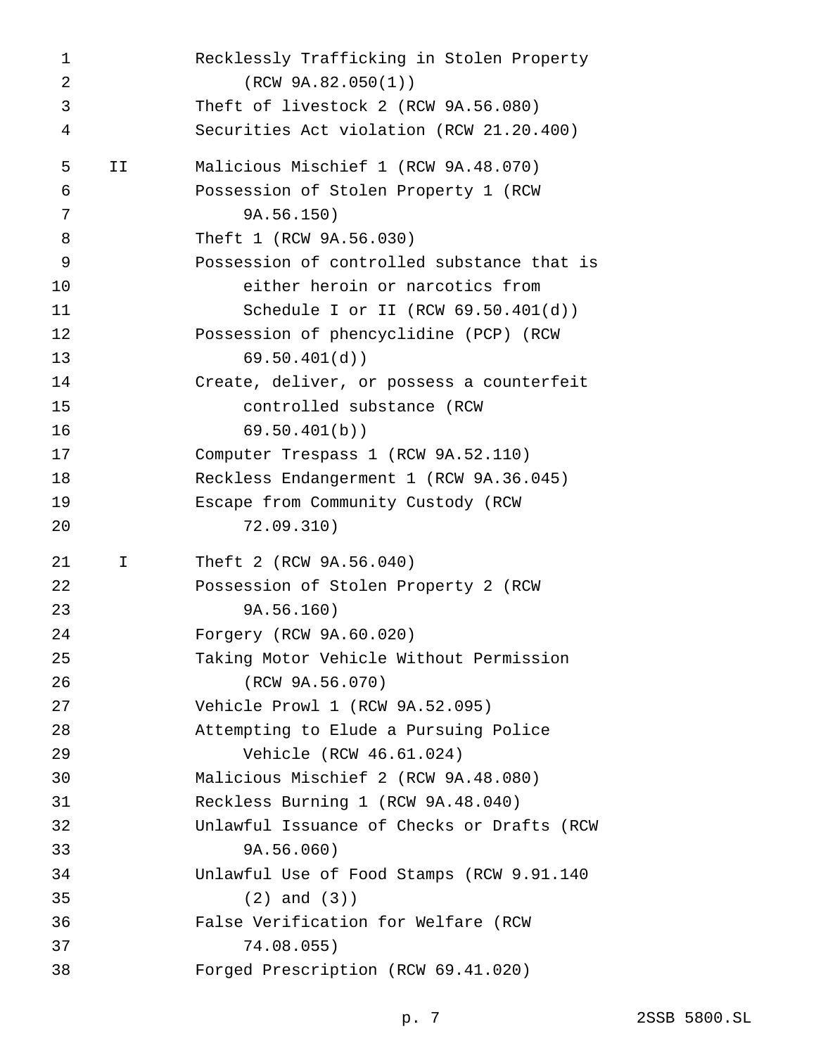Recklessly Trafficking in Stolen Property (RCW 9A.82.050(1)) Theft of livestock 2 (RCW 9A.56.080) Securities Act violation (RCW 21.20.400) II Malicious Mischief 1 (RCW 9A.48.070) Possession of Stolen Property 1 (RCW 9A.56.150) Theft 1 (RCW 9A.56.030) Possession of controlled substance that is either heroin or narcotics from Schedule I or II (RCW 69.50.401(d)) Possession of phencyclidine (PCP) (RCW 69.50.401(d)) Create, deliver, or possess a counterfeit controlled substance (RCW 69.50.401(b)) Computer Trespass 1 (RCW 9A.52.110) Reckless Endangerment 1 (RCW 9A.36.045) Escape from Community Custody (RCW 72.09.310) I Theft 2 (RCW 9A.56.040) Possession of Stolen Property 2 (RCW 9A.56.160) Forgery (RCW 9A.60.020) Taking Motor Vehicle Without Permission (RCW 9A.56.070) Vehicle Prowl 1 (RCW 9A.52.095) Attempting to Elude a Pursuing Police Vehicle (RCW 46.61.024) Malicious Mischief 2 (RCW 9A.48.080) Reckless Burning 1 (RCW 9A.48.040) Unlawful Issuance of Checks or Drafts (RCW 9A.56.060) Unlawful Use of Food Stamps (RCW 9.91.140 (2) and (3)) False Verification for Welfare (RCW 74.08.055) Forged Prescription (RCW 69.41.020)